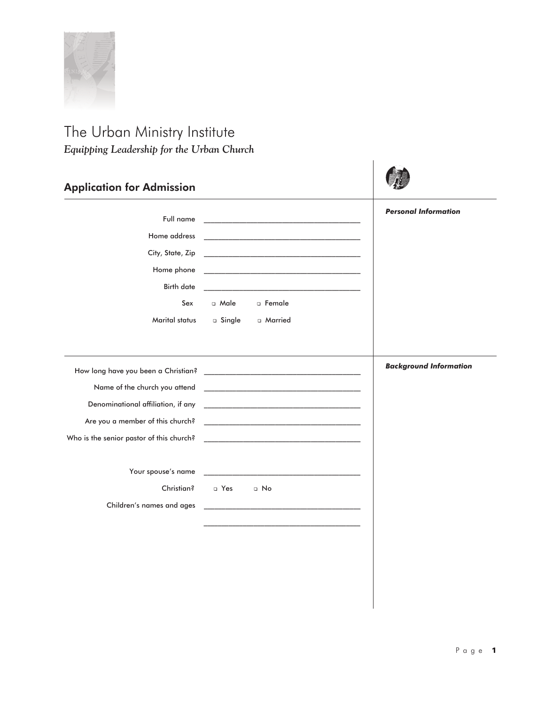

## The Urban Ministry Institute *Equipping Leadership for the Urban Church*

| <b>Application for Admission</b>            |                                                                                                                       |                               |
|---------------------------------------------|-----------------------------------------------------------------------------------------------------------------------|-------------------------------|
| Full name<br>City, State, Zip<br>Birth date | <u> 1989 - Johann Harry Harry Harry Harry Harry Harry Harry Harry Harry Harry Harry Harry Harry Harry Harry Harry</u> | <b>Personal Information</b>   |
| Sex                                         | a Male a Female<br>Marital status a Single a Married                                                                  |                               |
| Who is the senior pastor of this church?    |                                                                                                                       | <b>Background Information</b> |
| Christian?<br>Children's names and ages     | □ Yes □ No                                                                                                            |                               |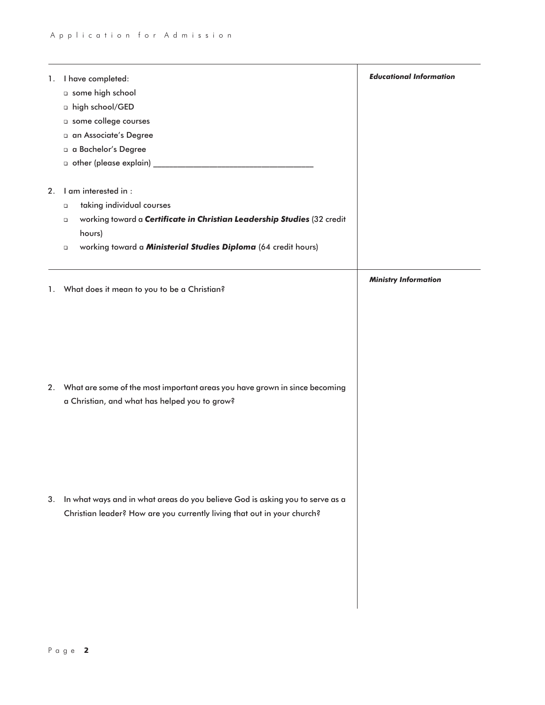| 1.<br>2. | I have completed:<br>o some high school<br>n high school/GED<br>o some college courses<br>a an Associate's Degree<br>a a Bachelor's Degree<br>I am interested in :<br>taking individual courses<br>$\Box$<br>working toward a Certificate in Christian Leadership Studies (32 credit<br>$\Box$<br>hours) | <b>Educational Information</b> |
|----------|----------------------------------------------------------------------------------------------------------------------------------------------------------------------------------------------------------------------------------------------------------------------------------------------------------|--------------------------------|
|          | working toward a Ministerial Studies Diploma (64 credit hours)<br>$\Box$<br>1. What does it mean to you to be a Christian?                                                                                                                                                                               | <b>Ministry Information</b>    |
|          | 2. What are some of the most important areas you have grown in since becoming<br>a Christian, and what has helped you to grow?                                                                                                                                                                           |                                |
| 3.       | In what ways and in what areas do you believe God is asking you to serve as a<br>Christian leader? How are you currently living that out in your church?                                                                                                                                                 |                                |
|          |                                                                                                                                                                                                                                                                                                          |                                |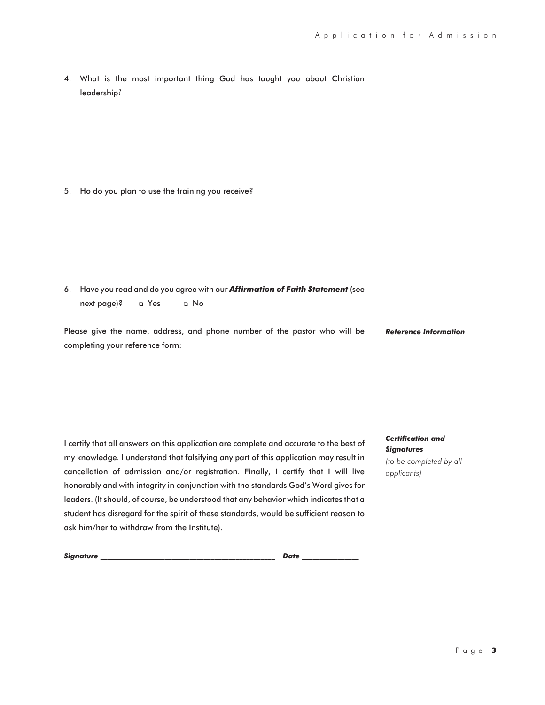| 4. | What is the most important thing God has taught you about Christian<br>leadership?                                                                                                                                                                                                                                                                                                                                                                                                                                                                                                                |                                                                                         |
|----|---------------------------------------------------------------------------------------------------------------------------------------------------------------------------------------------------------------------------------------------------------------------------------------------------------------------------------------------------------------------------------------------------------------------------------------------------------------------------------------------------------------------------------------------------------------------------------------------------|-----------------------------------------------------------------------------------------|
| 5. | Ho do you plan to use the training you receive?                                                                                                                                                                                                                                                                                                                                                                                                                                                                                                                                                   |                                                                                         |
|    | 6. Have you read and do you agree with our <b>Affirmation of Faith Statement</b> (see<br>next page)?<br>n Yes<br>$\Box$ No<br>Please give the name, address, and phone number of the pastor who will be<br>completing your reference form:                                                                                                                                                                                                                                                                                                                                                        | <b>Reference Information</b>                                                            |
|    | I certify that all answers on this application are complete and accurate to the best of<br>my knowledge. I understand that falsifying any part of this application may result in<br>cancellation of admission and/or registration. Finally, I certify that I will live<br>honorably and with integrity in conjunction with the standards God's Word gives for<br>leaders. (It should, of course, be understood that any behavior which indicates that a<br>student has disregard for the spirit of these standards, would be sufficient reason to<br>ask him/her to withdraw from the Institute). | <b>Certification and</b><br><b>Signatures</b><br>(to be completed by all<br>applicants) |
|    | Date ______________                                                                                                                                                                                                                                                                                                                                                                                                                                                                                                                                                                               |                                                                                         |